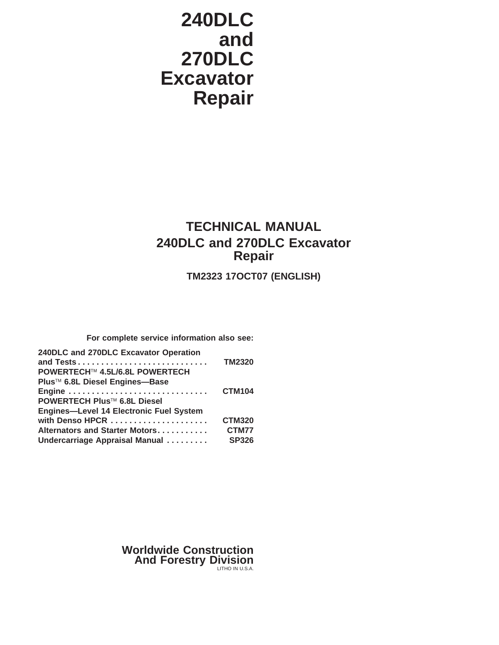# **240DLC and 270DLC Excavator Repair**

## **TECHNICAL MANUAL 240DLC and 270DLC Excavator Repair**

**TM2323 17OCT07 (ENGLISH)**

**For complete service information also see:**

| 240DLC and 270DLC Excavator Operation          |               |
|------------------------------------------------|---------------|
|                                                | <b>TM2320</b> |
| POWERTECH™ 4.5L/6.8L POWERTECH                 |               |
| Plus™ 6.8L Diesel Engines-Base                 |               |
|                                                | <b>CTM104</b> |
| POWERTECH Plus™ 6.8L Diesel                    |               |
| <b>Engines-Level 14 Electronic Fuel System</b> |               |
| with Denso HPCR                                | <b>CTM320</b> |
| Alternators and Starter Motors                 | CTM77         |
| Undercarriage Appraisal Manual  SP326          |               |
|                                                |               |

**Worldwide Construction And Forestry Division** LITHO IN U.S.A.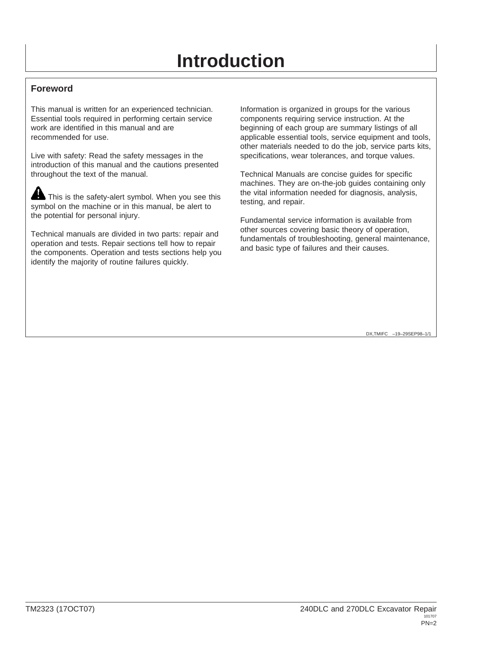#### **Foreword**

This manual is written for an experienced technician. Essential tools required in performing certain service work are identified in this manual and are recommended for use.

Live with safety: Read the safety messages in the introduction of this manual and the cautions presented throughout the text of the manual.

This is the safety-alert symbol. When you see this symbol on the machine or in this manual, be alert to the potential for personal injury.

Technical manuals are divided in two parts: repair and operation and tests. Repair sections tell how to repair the components. Operation and tests sections help you identify the majority of routine failures quickly.

Information is organized in groups for the various components requiring service instruction. At the beginning of each group are summary listings of all applicable essential tools, service equipment and tools, other materials needed to do the job, service parts kits, specifications, wear tolerances, and torque values.

Technical Manuals are concise guides for specific machines. They are on-the-job guides containing only the vital information needed for diagnosis, analysis, testing, and repair.

Fundamental service information is available from other sources covering basic theory of operation, fundamentals of troubleshooting, general maintenance, and basic type of failures and their causes.

DX,TMIFC –19–29SEP98–1/1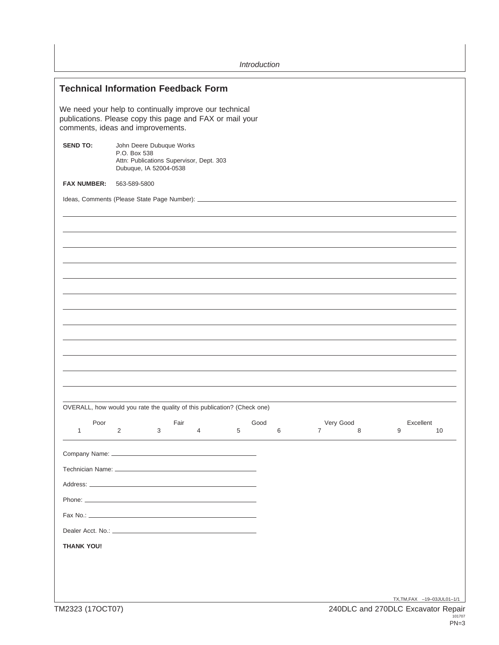|                    | Introduction                                                                                                                                            |   |      |   |                  |           |  |
|--------------------|---------------------------------------------------------------------------------------------------------------------------------------------------------|---|------|---|------------------|-----------|--|
|                    | <b>Technical Information Feedback Form</b>                                                                                                              |   |      |   |                  |           |  |
|                    | We need your help to continually improve our technical<br>publications. Please copy this page and FAX or mail your<br>comments, ideas and improvements. |   |      |   |                  |           |  |
| <b>SEND TO:</b>    | John Deere Dubuque Works<br>P.O. Box 538<br>Attn: Publications Supervisor, Dept. 303<br>Dubuque, IA 52004-0538                                          |   |      |   |                  |           |  |
| <b>FAX NUMBER:</b> | 563-589-5800                                                                                                                                            |   |      |   |                  |           |  |
|                    |                                                                                                                                                         |   |      |   |                  |           |  |
|                    |                                                                                                                                                         |   |      |   |                  |           |  |
|                    |                                                                                                                                                         |   |      |   |                  |           |  |
|                    |                                                                                                                                                         |   |      |   |                  |           |  |
|                    |                                                                                                                                                         |   |      |   |                  |           |  |
|                    |                                                                                                                                                         |   |      |   |                  |           |  |
|                    |                                                                                                                                                         |   |      |   |                  |           |  |
|                    |                                                                                                                                                         |   |      |   |                  |           |  |
|                    |                                                                                                                                                         |   |      |   |                  |           |  |
|                    |                                                                                                                                                         |   |      |   |                  |           |  |
|                    |                                                                                                                                                         |   |      |   |                  |           |  |
|                    |                                                                                                                                                         |   |      |   |                  |           |  |
|                    | OVERALL, how would you rate the quality of this publication? (Check one)                                                                                |   |      |   |                  |           |  |
| Poor               | Fair                                                                                                                                                    |   | Good |   | Very Good        | Excellent |  |
| $\mathbf{1}$       | 3<br>$\overline{2}$                                                                                                                                     | 4 | 5    | 6 | $7^{\circ}$<br>8 | 9<br>10   |  |
|                    |                                                                                                                                                         |   |      |   |                  |           |  |
|                    |                                                                                                                                                         |   |      |   |                  |           |  |
|                    |                                                                                                                                                         |   |      |   |                  |           |  |
|                    |                                                                                                                                                         |   |      |   |                  |           |  |
|                    |                                                                                                                                                         |   |      |   |                  |           |  |
|                    |                                                                                                                                                         |   |      |   |                  |           |  |
|                    |                                                                                                                                                         |   |      |   |                  |           |  |
|                    |                                                                                                                                                         |   |      |   |                  |           |  |
|                    |                                                                                                                                                         |   |      |   |                  |           |  |
| <b>THANK YOU!</b>  |                                                                                                                                                         |   |      |   |                  |           |  |

 $\overline{\phantom{a}}$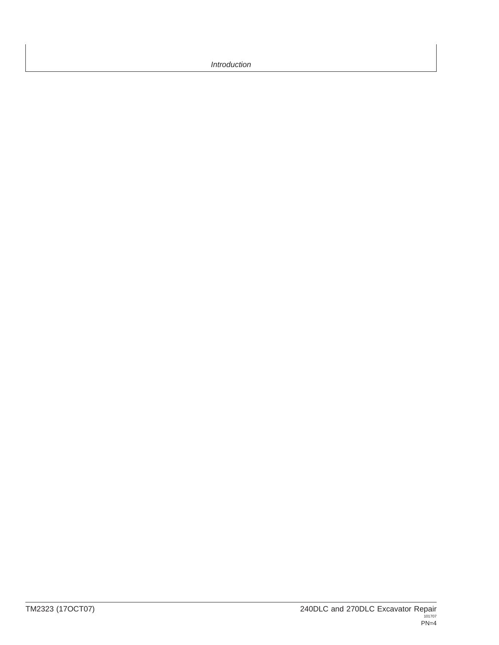*Introduction*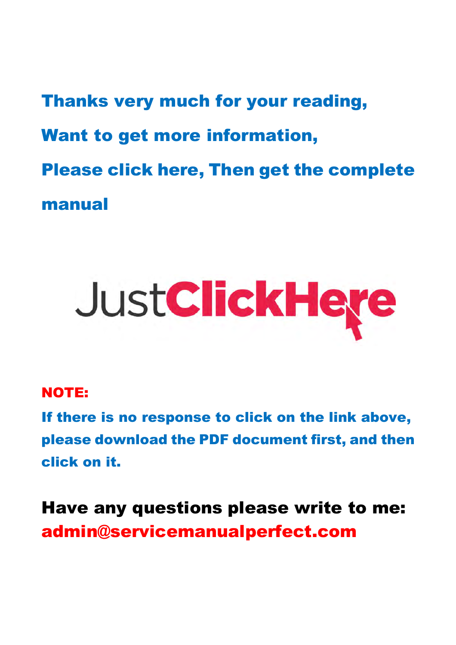**Thanks very much for your reading, Want to get more information, Please click here, Then get the complete manual**



## **NOTE:**

**If there is no response to click on the link above, please download the PDF document first, and then click on it.**

**Have any questions please write to me: admin@servicemanualperfect.com**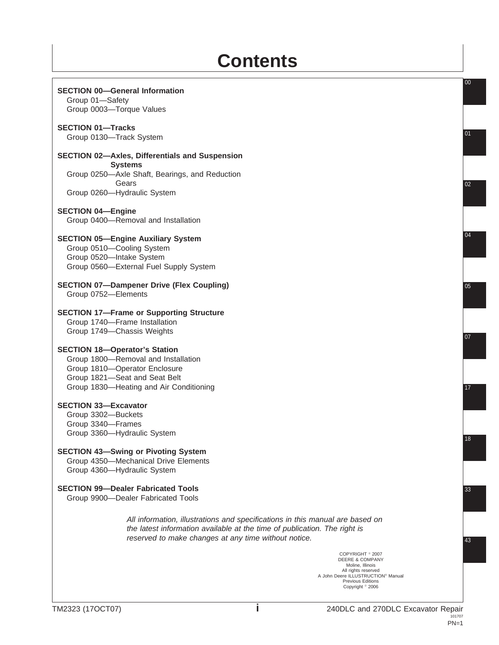#### **SECTION 00—General Information**

Group 01—Safety Group 0003—Torque Values

#### **SECTION 01—Tracks**

<sup>01</sup> Group 0130—Track System

#### **SECTION 02—Axles, Differentials and Suspension Systems**

Group 0250—Axle Shaft, Bearings, and Reduction Gears Group 0260—Hydraulic System

#### **SECTION 04—Engine**

Group 0400—Removal and Installation

#### **SECTION 05—Engine Auxiliary System**

Group 0510—Cooling System Group 0520—Intake System Group 0560—External Fuel Supply System

**SECTION 07—Dampener Drive (Flex Coupling)** Group 0752—Elements

#### **SECTION 17—Frame or Supporting Structure**

Group 1740—Frame Installation Group 1749—Chassis Weights

#### **SECTION 18—Operator's Station**

Group 1800—Removal and Installation Group 1810—Operator Enclosure Group 1821—Seat and Seat Belt Group 1830—Heating and Air Conditioning

#### **SECTION 33—Excavator**

Group 3302—Buckets Group 3340—Frames Group 3360—Hydraulic System

#### **SECTION 43—Swing or Pivoting System**

Group 4350—Mechanical Drive Elements Group 4360—Hydraulic System

#### **SECTION 99—Dealer Fabricated Tools**

Group 9900—Dealer Fabricated Tools

*All information, illustrations and specifications in this manual are based on the latest information available at the time of publication. The right is reserved to make changes at any time without notice.*

> COPYRIGHT<sup>®</sup> 2007 DEERE & COMPANY Moline, Illinois All rights reserved A John Deere ILLUSTRUCTION® Manual<br>Previous Editions Copyright<sup>®</sup> 2006

00

02

04

05

07

17

18

33

43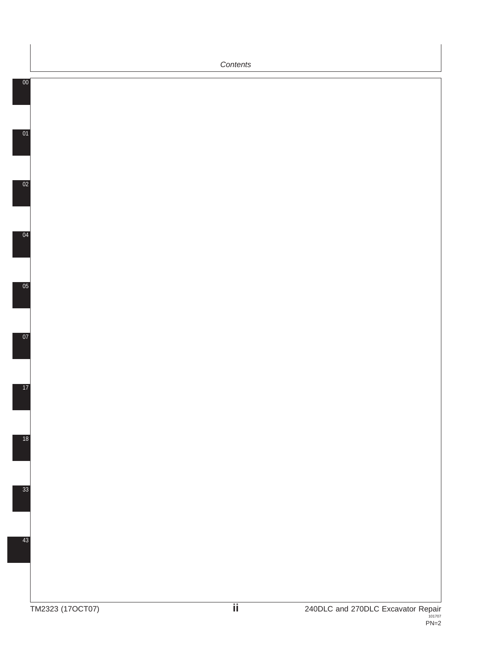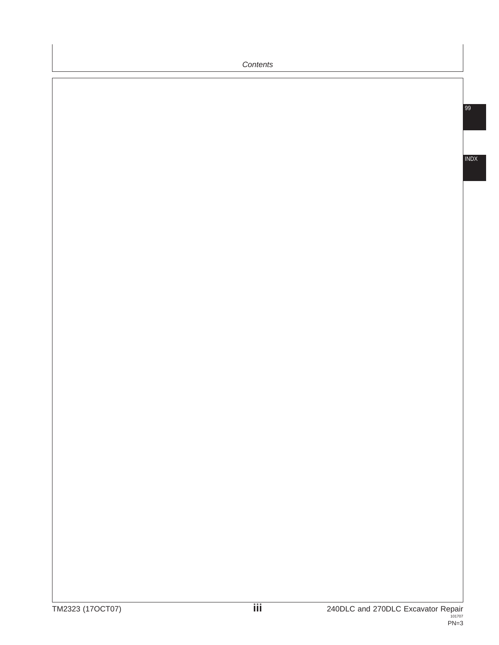99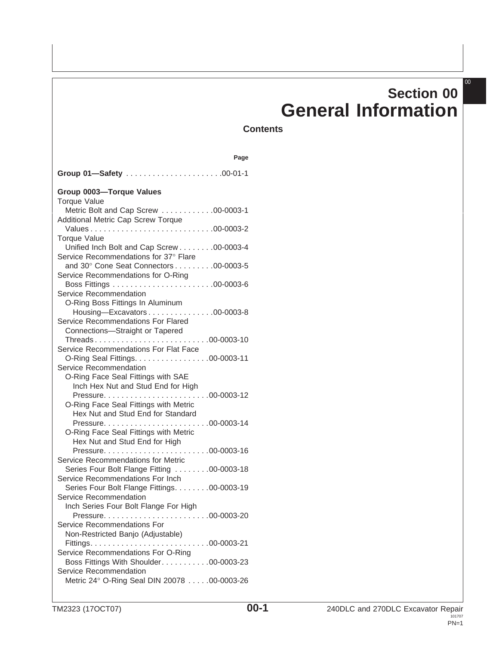## **Section 00 General Information**

00

| Page                                                            |
|-----------------------------------------------------------------|
| Group 01-Safety 00-01-1                                         |
| Group 0003-Torque Values                                        |
| <b>Torque Value</b>                                             |
| Metric Bolt and Cap Screw 00-0003-1                             |
| <b>Additional Metric Cap Screw Torque</b>                       |
|                                                                 |
| Torque Value                                                    |
| Unified Inch Bolt and Cap Screw 00-0003-4                       |
| Service Recommendations for 37° Flare                           |
| and 30° Cone Seat Connectors 00-0003-5                          |
| Service Recommendations for O-Ring                              |
|                                                                 |
| Service Recommendation<br>O-Ring Boss Fittings In Aluminum      |
| Housing-Excavators00-0003-8                                     |
| Service Recommendations For Flared                              |
| Connections-Straight or Tapered                                 |
| Threads00-0003-10                                               |
| Service Recommendations For Flat Face                           |
| O-Ring Seal Fittings. 00-0003-11                                |
| Service Recommendation                                          |
| O-Ring Face Seal Fittings with SAE                              |
| Inch Hex Nut and Stud End for High                              |
|                                                                 |
| O-Ring Face Seal Fittings with Metric                           |
| Hex Nut and Stud End for Standard                               |
|                                                                 |
| O-Ring Face Seal Fittings with Metric                           |
| Hex Nut and Stud End for High                                   |
|                                                                 |
| Service Recommendations for Metric                              |
| Series Four Bolt Flange Fitting 00-0003-18                      |
| Service Recommendations For Inch                                |
| Series Four Bolt Flange Fittings. 00-0003-19                    |
| Service Recommendation<br>Inch Series Four Bolt Flange For High |
|                                                                 |
| Service Recommendations For                                     |
| Non-Restricted Banjo (Adjustable)                               |
|                                                                 |
| Service Recommendations For O-Ring                              |
| Boss Fittings With Shoulder. 00-0003-23                         |
| Service Recommendation                                          |
| Metric 24° O-Ring Seal DIN 2007800-0003-26                      |
|                                                                 |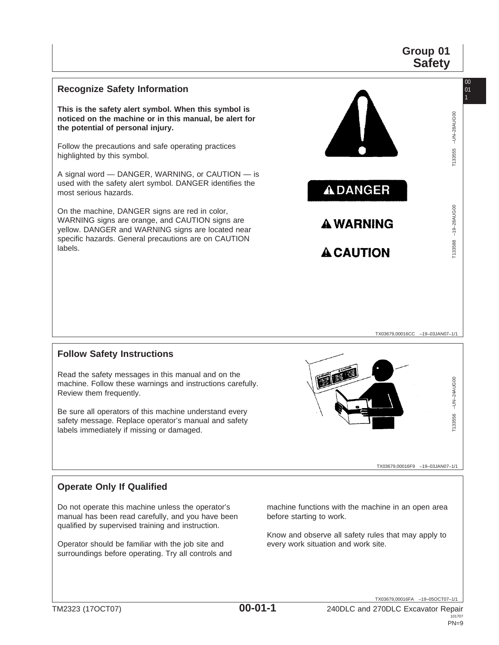**This is the safety alert symbol. When this symbol is noticed on the machine or in this manual, be alert for the potential of personal injury.**

Follow the precautions and safe operating practices highlighted by this symbol.

A signal word — DANGER, WARNING, or CAUTION — is used with the safety alert symbol. DANGER identifies the most serious hazards.

On the machine, DANGER signs are red in color, WARNING signs are orange, and CAUTION signs are yellow. DANGER and WARNING signs are located near specific hazards. General precautions are on CAUTION labels.



TX03679,00016CC –19–03JAN07–1/1

#### **Follow Safety Instructions**

Read the safety messages in this manual and on the machine. Follow these warnings and instructions carefully. Review them frequently.

Be sure all operators of this machine understand every safety message. Replace operator's manual and safety labels immediately if missing or damaged.



TX03679,00016F9 –19–03JAN07–1/1

#### **Operate Only If Qualified**

Do not operate this machine unless the operator's manual has been read carefully, and you have been qualified by supervised training and instruction.

Operator should be familiar with the job site and surroundings before operating. Try all controls and machine functions with the machine in an open area before starting to work.

Know and observe all safety rules that may apply to every work situation and work site.

 $0<sup>c</sup>$ 01 1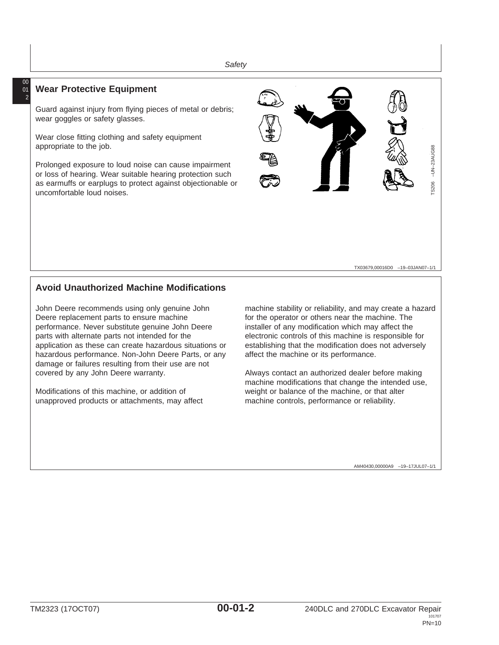

#### **Wear Protective Equipment**

Guard against injury from flying pieces of metal or debris; wear goggles or safety glasses.

Wear close fitting clothing and safety equipment appropriate to the job.

Prolonged exposure to loud noise can cause impairment or loss of hearing. Wear suitable hearing protection such as earmuffs or earplugs to protect against objectionable or uncomfortable loud noises.



TX03679,00016D0 –19–03JAN07–1/1

#### **Avoid Unauthorized Machine Modifications**

John Deere recommends using only genuine John Deere replacement parts to ensure machine performance. Never substitute genuine John Deere parts with alternate parts not intended for the application as these can create hazardous situations or hazardous performance. Non-John Deere Parts, or any damage or failures resulting from their use are not covered by any John Deere warranty.

Modifications of this machine, or addition of unapproved products or attachments, may affect machine stability or reliability, and may create a hazard for the operator or others near the machine. The installer of any modification which may affect the electronic controls of this machine is responsible for establishing that the modification does not adversely affect the machine or its performance.

Always contact an authorized dealer before making machine modifications that change the intended use, weight or balance of the machine, or that alter machine controls, performance or reliability.

AM40430,00000A9 –19–17JUL07–1/1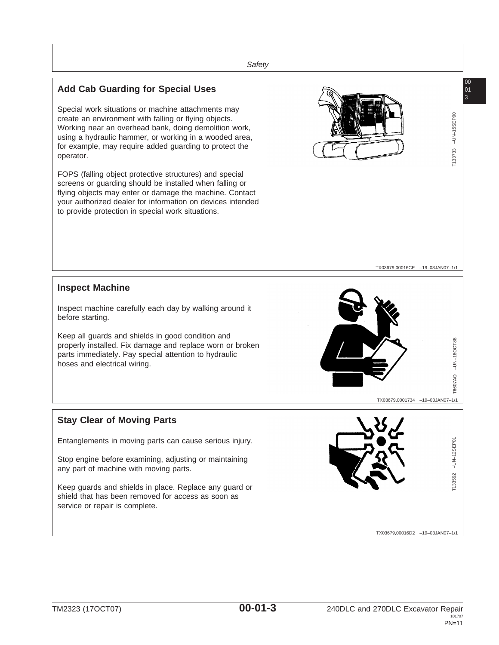#### **Add Cab Guarding for Special Uses**

Special work situations or machine attachments may create an environment with falling or flying objects. Working near an overhead bank, doing demolition work, using a hydraulic hammer, or working in a wooded area, for example, may require added guarding to protect the operator.

FOPS (falling object protective structures) and special screens or guarding should be installed when falling or flying objects may enter or damage the machine. Contact your authorized dealer for information on devices intended to provide protection in special work situations.



TX03679,00016CE –19–03JAN07–1/1

#### **Inspect Machine**

Inspect machine carefully each day by walking around it before starting.

Keep all guards and shields in good condition and properly installed. Fix damage and replace worn or broken parts immediately. Pay special attention to hydraulic hoses and electrical wiring.



Entanglements in moving parts can cause serious injury.

Stop engine before examining, adjusting or maintaining any part of machine with moving parts.

Keep guards and shields in place. Replace any guard or shield that has been removed for access as soon as service or repair is complete.





 $0<sup>c</sup>$ 01 3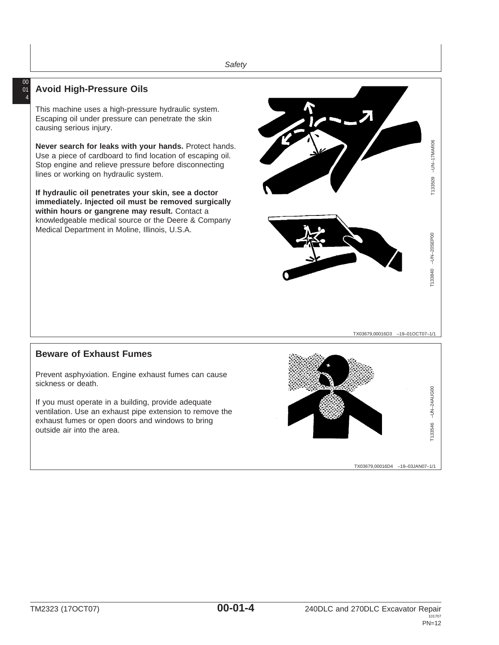

#### **Avoid High-Pressure Oils**

This machine uses a high-pressure hydraulic system. Escaping oil under pressure can penetrate the skin causing serious injury.

**Never search for leaks with your hands.** Protect hands. Use a piece of cardboard to find location of escaping oil. Stop engine and relieve pressure before disconnecting lines or working on hydraulic system.

**If hydraulic oil penetrates your skin, see a doctor immediately. Injected oil must be removed surgically within hours or gangrene may result.** Contact a knowledgeable medical source or the Deere & Company Medical Department in Moline, Illinois, U.S.A.



#### **Beware of Exhaust Fumes**

Prevent asphyxiation. Engine exhaust fumes can cause sickness or death.

If you must operate in a building, provide adequate ventilation. Use an exhaust pipe extension to remove the exhaust fumes or open doors and windows to bring outside air into the area.

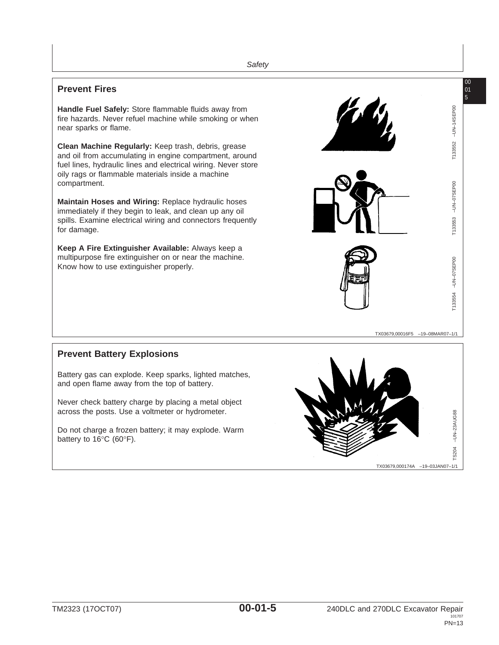#### **Prevent Fires**

**Handle Fuel Safely:** Store flammable fluids away from fire hazards. Never refuel machine while smoking or when near sparks or flame.

**Clean Machine Regularly:** Keep trash, debris, grease and oil from accumulating in engine compartment, around fuel lines, hydraulic lines and electrical wiring. Never store oily rags or flammable materials inside a machine compartment.

**Maintain Hoses and Wiring:** Replace hydraulic hoses immediately if they begin to leak, and clean up any oil spills. Examine electrical wiring and connectors frequently for damage.

**Keep A Fire Extinguisher Available:** Always keep a multipurpose fire extinguisher on or near the machine. Know how to use extinguisher properly.



#### **Prevent Battery Explosions**

Battery gas can explode. Keep sparks, lighted matches, and open flame away from the top of battery.

Never check battery charge by placing a metal object across the posts. Use a voltmeter or hydrometer.

Do not charge a frozen battery; it may explode. Warm battery to 16°C (60°F).

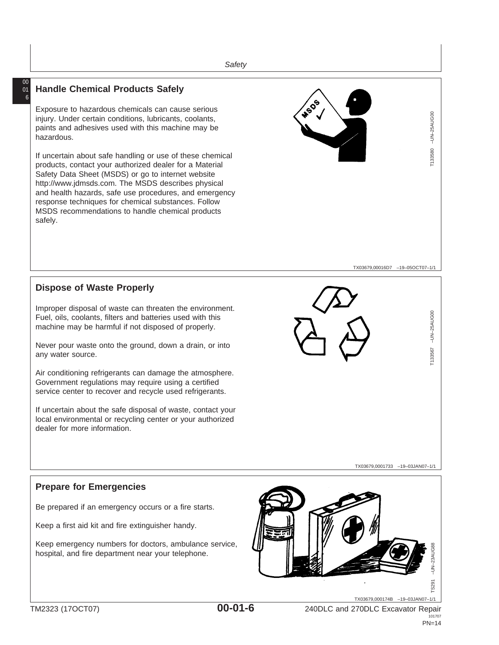

#### **Handle Chemical Products Safely**

Exposure to hazardous chemicals can cause serious injury. Under certain conditions, lubricants, coolants, paints and adhesives used with this machine may be hazardous.

If uncertain about safe handling or use of these chemical products, contact your authorized dealer for a Material Safety Data Sheet (MSDS) or go to internet website http://www.jdmsds.com. The MSDS describes physical and health hazards, safe use procedures, and emergency response techniques for chemical substances. Follow MSDS recommendations to handle chemical products safely.



TX03679,00016D7 –19–05OCT07–1/1

T133580 –UN–25AUG00

T133580

-UN-25AUG00

#### **Dispose of Waste Properly**

Improper disposal of waste can threaten the environment. Fuel, oils, coolants, filters and batteries used with this machine may be harmful if not disposed of properly.

Never pour waste onto the ground, down a drain, or into any water source.

Air conditioning refrigerants can damage the atmosphere. Government regulations may require using a certified service center to recover and recycle used refrigerants.

If uncertain about the safe disposal of waste, contact your local environmental or recycling center or your authorized dealer for more information.



#### TX03679,0001733 –19–03JAN07–1/1

#### **Prepare for Emergencies**

Be prepared if an emergency occurs or a fire starts.

Keep a first aid kit and fire extinguisher handy.

Keep emergency numbers for doctors, ambulance service, hospital, and fire department near your telephone.

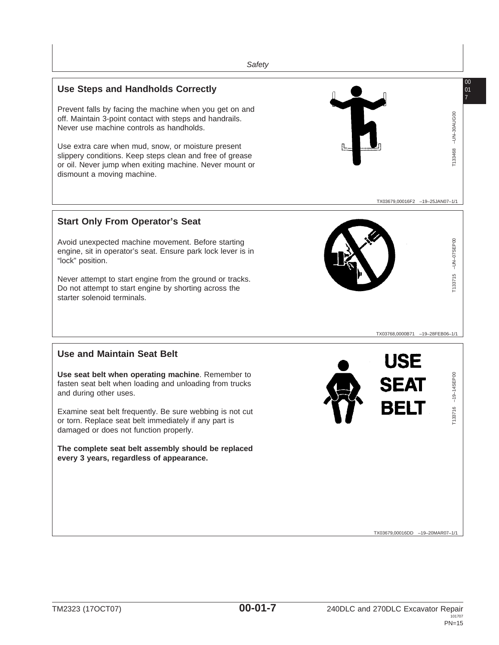#### **Use Steps and Handholds Correctly**

Prevent falls by facing the machine when you get on and off. Maintain 3-point contact with steps and handrails. Never use machine controls as handholds.

Use extra care when mud, snow, or moisture present slippery conditions. Keep steps clean and free of grease or oil. Never jump when exiting machine. Never mount or dismount a moving machine.



TX03679,00016F2 –19–25JAN07–1/1

 $0<sup>c</sup>$ 01 7

### **Start Only From Operator's Seat**  $-UN-07$ SEP00 Avoid unexpected machine movement. Before starting T133715 –UN–07SEP00 engine, sit in operator's seat. Ensure park lock lever is in "lock" position. [133715 Never attempt to start engine from the ground or tracks. Do not attempt to start engine by shorting across the starter solenoid terminals. TX03768,0000B71 –19–28FEB06–1/1 **Use and Maintain Seat Belt USE Use seat belt when operating machine**. Remember to 133716 -19-14SEP00 T133716 –19–14SEP00 **SEAT** fasten seat belt when loading and unloading from trucks and during other uses. Examine seat belt frequently. Be sure webbing is not cut or torn. Replace seat belt immediately if any part is damaged or does not function properly. **The complete seat belt assembly should be replaced every 3 years, regardless of appearance.**

TX03679,00016DD –19–20MAR07–1/1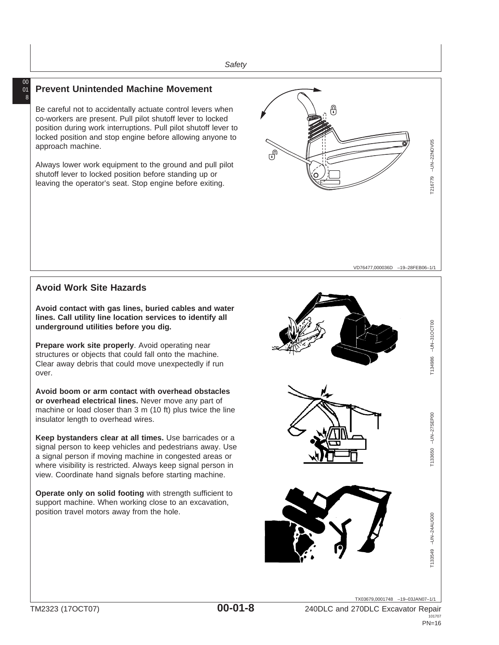#### **Prevent Unintended Machine Movement**

00  $01$ 8

> Be careful not to accidentally actuate control levers when co-workers are present. Pull pilot shutoff lever to locked position during work interruptions. Pull pilot shutoff lever to locked position and stop engine before allowing anyone to approach machine.

Always lower work equipment to the ground and pull pilot shutoff lever to locked position before standing up or leaving the operator's seat. Stop engine before exiting.

VD76477,000036D –19–28FEB06–1/1

T216779 –UN–22NOV05

T216779

 $-UN-22NOV05$ 

#### **Avoid Work Site Hazards**

**Avoid contact with gas lines, buried cables and water lines. Call utility line location services to identify all underground utilities before you dig.**

**Prepare work site properly**. Avoid operating near structures or objects that could fall onto the machine. Clear away debris that could move unexpectedly if run over.

**Avoid boom or arm contact with overhead obstacles or overhead electrical lines.** Never move any part of machine or load closer than 3 m (10 ft) plus twice the line insulator length to overhead wires.

**Keep bystanders clear at all times.** Use barricades or a signal person to keep vehicles and pedestrians away. Use a signal person if moving machine in congested areas or where visibility is restricted. Always keep signal person in view. Coordinate hand signals before starting machine.

**Operate only on solid footing** with strength sufficient to support machine. When working close to an excavation, position travel motors away from the hole.



TX03679,0001748 –19–03JAN07–1/1